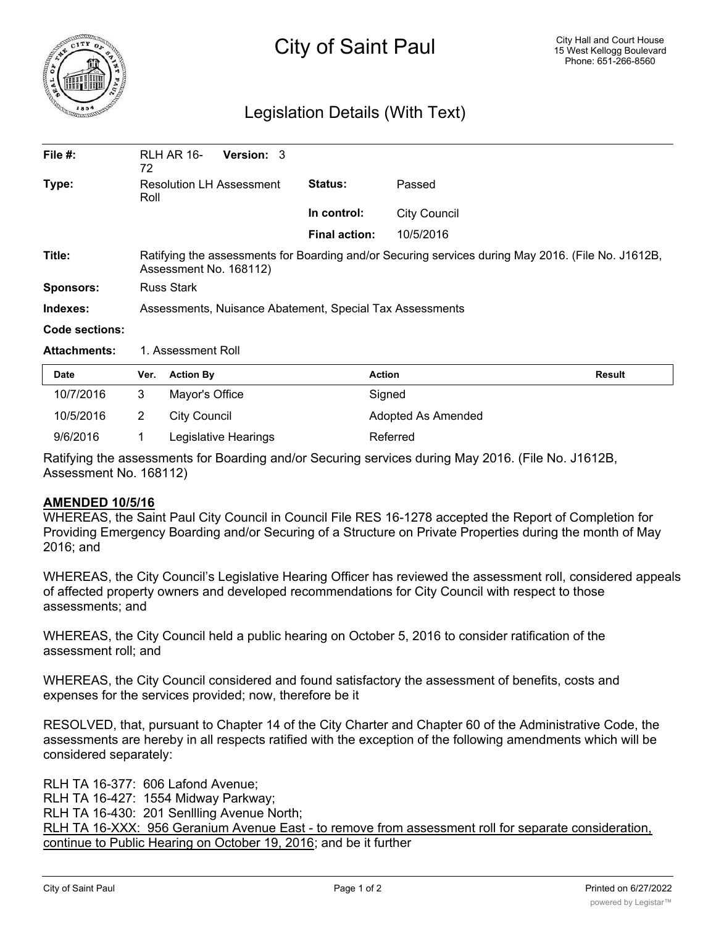

## Legislation Details (With Text)

| File $#$ :          | <b>RLH AR 16-</b><br><b>Version: 3</b><br>72                                                                                 |                      |                     |  |  |
|---------------------|------------------------------------------------------------------------------------------------------------------------------|----------------------|---------------------|--|--|
| Type:               | <b>Resolution LH Assessment</b><br>Roll                                                                                      | Status:              | Passed              |  |  |
|                     |                                                                                                                              | In control:          | <b>City Council</b> |  |  |
|                     |                                                                                                                              | <b>Final action:</b> | 10/5/2016           |  |  |
| Title:              | Ratifying the assessments for Boarding and/or Securing services during May 2016. (File No. J1612B,<br>Assessment No. 168112) |                      |                     |  |  |
| <b>Sponsors:</b>    | <b>Russ Stark</b>                                                                                                            |                      |                     |  |  |
| Indexes:            | Assessments, Nuisance Abatement, Special Tax Assessments                                                                     |                      |                     |  |  |
| Code sections:      |                                                                                                                              |                      |                     |  |  |
| <b>Attachments:</b> | 1. Assessment Roll                                                                                                           |                      |                     |  |  |

| <b>Date</b> | Ver. | <b>Action By</b>     | <b>Action</b>      | Result |
|-------------|------|----------------------|--------------------|--------|
| 10/7/2016   |      | Mayor's Office       | Signed             |        |
| 10/5/2016   |      | City Council         | Adopted As Amended |        |
| 9/6/2016    |      | Legislative Hearings | Referred           |        |

Ratifying the assessments for Boarding and/or Securing services during May 2016. (File No. J1612B, Assessment No. 168112)

## **AMENDED 10/5/16**

WHEREAS, the Saint Paul City Council in Council File RES 16-1278 accepted the Report of Completion for Providing Emergency Boarding and/or Securing of a Structure on Private Properties during the month of May 2016; and

WHEREAS, the City Council's Legislative Hearing Officer has reviewed the assessment roll, considered appeals of affected property owners and developed recommendations for City Council with respect to those assessments; and

WHEREAS, the City Council held a public hearing on October 5, 2016 to consider ratification of the assessment roll; and

WHEREAS, the City Council considered and found satisfactory the assessment of benefits, costs and expenses for the services provided; now, therefore be it

RESOLVED, that, pursuant to Chapter 14 of the City Charter and Chapter 60 of the Administrative Code, the assessments are hereby in all respects ratified with the exception of the following amendments which will be considered separately:

RLH TA 16-377: 606 Lafond Avenue; RLH TA 16-427: 1554 Midway Parkway; RLH TA 16-430: 201 Senllling Avenue North; RLH TA 16-XXX: 956 Geranium Avenue East - to remove from assessment roll for separate consideration, continue to Public Hearing on October 19, 2016; and be it further